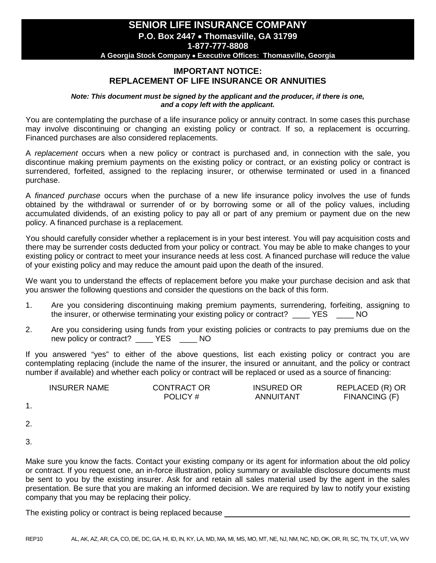# **SENIOR LIFE INSURANCE COMPANY P.O. Box 2447** • **Thomasville, GA 31799 1-877-777-8808**

**A Georgia Stock Company** • **Executive Offices: Thomasville, Georgia**

## **IMPORTANT NOTICE: REPLACEMENT OF LIFE INSURANCE OR ANNUITIES**

*Note: This document must be signed by the applicant and the producer, if there is one, and a copy left with the applicant.*

You are contemplating the purchase of a life insurance policy or annuity contract. In some cases this purchase may involve discontinuing or changing an existing policy or contract. If so, a replacement is occurring. Financed purchases are also considered replacements.

A *replacement* occurs when a new policy or contract is purchased and, in connection with the sale, you discontinue making premium payments on the existing policy or contract, or an existing policy or contract is surrendered, forfeited, assigned to the replacing insurer, or otherwise terminated or used in a financed purchase.

A *financed purchase* occurs when the purchase of a new life insurance policy involves the use of funds obtained by the withdrawal or surrender of or by borrowing some or all of the policy values, including accumulated dividends, of an existing policy to pay all or part of any premium or payment due on the new policy. A financed purchase is a replacement.

You should carefully consider whether a replacement is in your best interest. You will pay acquisition costs and there may be surrender costs deducted from your policy or contract. You may be able to make changes to your existing policy or contract to meet your insurance needs at less cost. A financed purchase will reduce the value of your existing policy and may reduce the amount paid upon the death of the insured.

We want you to understand the effects of replacement before you make your purchase decision and ask that you answer the following questions and consider the questions on the back of this form.

- 1. Are you considering discontinuing making premium payments, surrendering, forfeiting, assigning to the insurer, or otherwise terminating your existing policy or contract? \_\_\_\_ YES \_\_\_\_ NO
- 2. Are you considering using funds from your existing policies or contracts to pay premiums due on the new policy or contract? \_\_\_\_ YES \_\_\_\_ NO

If you answered "yes" to either of the above questions, list each existing policy or contract you are contemplating replacing (include the name of the insurer, the insured or annuitant, and the policy or contract number if available) and whether each policy or contract will be replaced or used as a source of financing:

| <b>INSURER NAME</b> | <b>CONTRACT OR</b> | <b>INSURED OR</b> | REPLACED (R) OR |
|---------------------|--------------------|-------------------|-----------------|
|                     | POLICY#            | ANNUITANT         | FINANCING (F)   |

- 1.
- 2.
- 3.

Make sure you know the facts. Contact your existing company or its agent for information about the old policy or contract. If you request one, an in-force illustration, policy summary or available disclosure documents must be sent to you by the existing insurer. Ask for and retain all sales material used by the agent in the sales presentation. Be sure that you are making an informed decision. We are required by law to notify your existing company that you may be replacing their policy.

The existing policy or contract is being replaced because